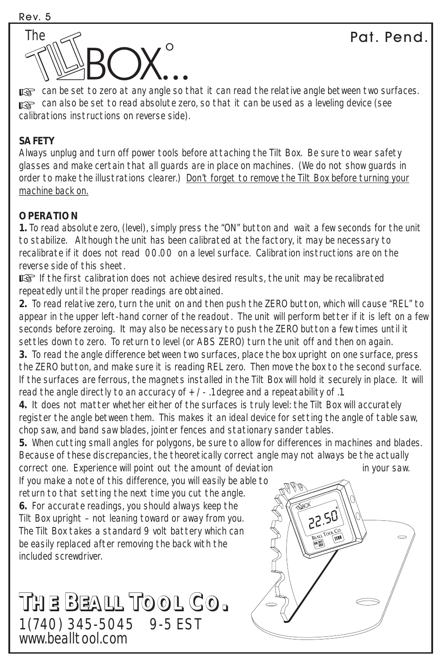

to can be set to zero at any angle so that it can read the relative angle between two surfaces. can also be set to read absolute zero, so that it can be used as a leveling device (see calibrations instructions on reverse side).

## **SAFETY**

*Always unplug and turn off power tools before attaching the Tilt Box. Be sure to wear safety glasses and make certain that all guards are in place on machines. (We do not show guards in order to make the illustrations clearer.) Don't forget to remove the Tilt Box before turning your machine back on.*

## **OPERATION**

**1.** To read absolute zero, (level), simply press the "ON" button and wait a few seconds for the unit to stabilize. Although the unit has been calibrated at the factory, it may be necessary to recalibrate if it does not read 00.00 on a level surface. Calibration instructions are on the reverse side of this sheet.

IG If the first calibration does not achieve desired results, the unit may be recalibrated repeatedly until the proper readings are obtained.

**2.** To read *relative* zero, turn the unit on and then push the ZERO button, which will cause "REL" to appear in the upper left-hand corner of the readout. The unit will perform better if it is left on a few seconds before zeroing. It may also be necessary to push the ZERO button a few times until it settles down to zero. To return to level (or ABS ZERO) turn the unit off and then on again.

**3.** To read the angle difference between two surfaces, place the box upright on one surface, press the ZERO button, and make sure it is reading REL zero. Then move the box to the second surface. If the surfaces are ferrous, the magnets installed in the Tilt Box will hold it securely in place. It will read the angle directly to an accuracy of  $+$   $/$  - .1 degree and a repeatability of .1.

**4.** It does not matter whether either of the surfaces is truly level: the Tilt Box will accurately register the angle between them. This makes it an ideal device for setting the angle of table saw, chop saw, and band saw blades, jointer fences and stationary sander tables.

**5.** When cutting small angles for polygons, be sure to allow for differences in machines and blades. Because of these discrepancies, the theoretically correct angle may not always be the actually correct one. Experience will point out the amount of deviation in your saw.

If you make a note of this difference, you will easily be able to return to that setting the next time you cut the angle. **6.** For accurate readings, you should always keep the Tilt Box upright – not leaning toward or away from you. The Tilt Box takes a standard 9 volt battery which can be easily replaced after removing the back with the included screwdriver.

**THE BEALL TOOL CO. THE BEALL TOOL CO.** 1 (740) 345-5045 9-5 EST www.bealltool.com